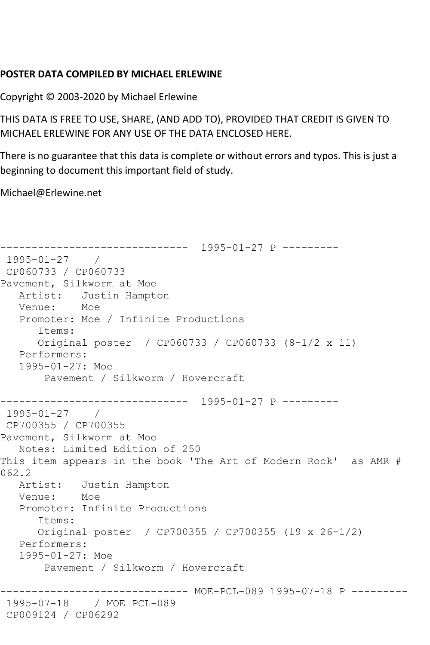## **POSTER DATA COMPILED BY MICHAEL ERLEWINE**

Copyright © 2003-2020 by Michael Erlewine

THIS DATA IS FREE TO USE, SHARE, (AND ADD TO), PROVIDED THAT CREDIT IS GIVEN TO MICHAEL ERLEWINE FOR ANY USE OF THE DATA ENCLOSED HERE.

There is no guarantee that this data is complete or without errors and typos. This is just a beginning to document this important field of study.

Michael@Erlewine.net

```
------------------------------ 1995-01-27 P ---------
1995-01-27 / 
CP060733 / CP060733
Pavement, Silkworm at Moe
   Artist: Justin Hampton
   Venue: Moe
   Promoter: Moe / Infinite Productions
       Items:
      Original poster / CP060733 / CP060733 (8-1/2 x 11)
   Performers:
   1995-01-27: Moe
       Pavement / Silkworm / Hovercraft
------------------------------ 1995-01-27 P ---------
1995-01-27 / 
CP700355 / CP700355
Pavement, Silkworm at Moe
   Notes: Limited Edition of 250
This item appears in the book 'The Art of Modern Rock' as AMR # 
062.2
  Artist: Justin Hampton<br>Venue: Moe
  Venue:
   Promoter: Infinite Productions
       Items:
      Original poster / CP700355 / CP700355 (19 x 26-1/2)
   Performers:
   1995-01-27: Moe
       Pavement / Silkworm / Hovercraft
------------------------------ MOE-PCL-089 1995-07-18 P ---------
1995-07-18 / MOE PCL-089
CP009124 / CP06292
```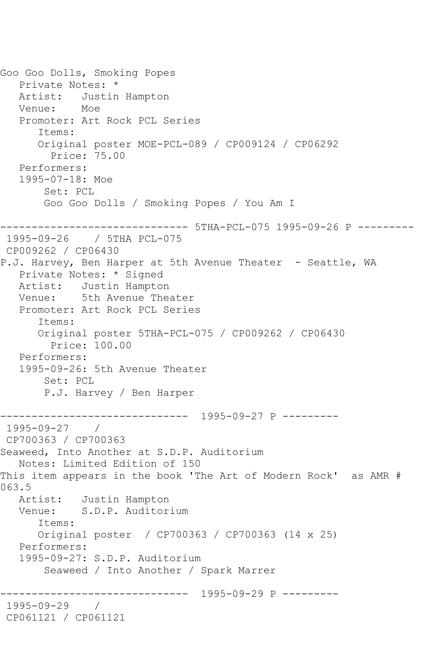Goo Goo Dolls, Smoking Popes Private Notes: \* Artist: Justin Hampton Venue: Moe Promoter: Art Rock PCL Series Items: Original poster MOE-PCL-089 / CP009124 / CP06292 Price: 75.00 Performers: 1995-07-18: Moe Set: PCL Goo Goo Dolls / Smoking Popes / You Am I ------------------------------ 5THA-PCL-075 1995-09-26 P --------- 1995-09-26 / 5THA PCL-075 CP009262 / CP06430 P.J. Harvey, Ben Harper at 5th Avenue Theater - Seattle, WA Private Notes: \* Signed Artist: Justin Hampton Venue: 5th Avenue Theater Promoter: Art Rock PCL Series Items: Original poster 5THA-PCL-075 / CP009262 / CP06430 Price: 100.00 Performers: 1995-09-26: 5th Avenue Theater Set: PCL P.J. Harvey / Ben Harper ------------------------------ 1995-09-27 P --------- 1995-09-27 / CP700363 / CP700363 Seaweed, Into Another at S.D.P. Auditorium Notes: Limited Edition of 150 This item appears in the book 'The Art of Modern Rock' as AMR # 063.5 Artist: Justin Hampton Venue: S.D.P. Auditorium Items: Original poster / CP700363 / CP700363 (14 x 25) Performers: 1995-09-27: S.D.P. Auditorium Seaweed / Into Another / Spark Marrer ------------------------------ 1995-09-29 P --------- 1995-09-29 / CP061121 / CP061121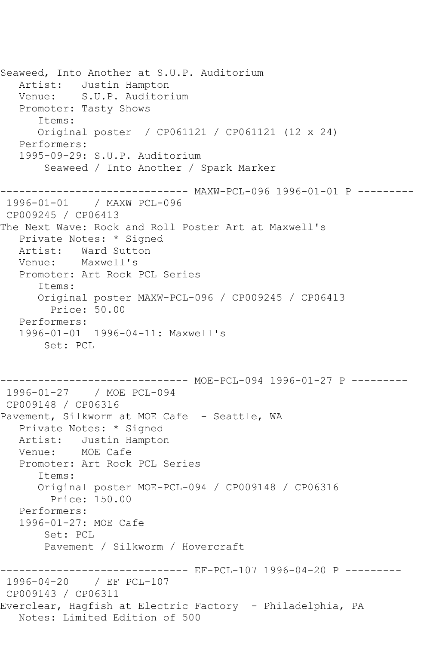Seaweed, Into Another at S.U.P. Auditorium Artist: Justin Hampton Venue: S.U.P. Auditorium Promoter: Tasty Shows Items: Original poster / CP061121 / CP061121 (12 x 24) Performers: 1995-09-29: S.U.P. Auditorium Seaweed / Into Another / Spark Marker ------------------------------ MAXW-PCL-096 1996-01-01 P --------- 1996-01-01 / MAXW PCL-096 CP009245 / CP06413 The Next Wave: Rock and Roll Poster Art at Maxwell's Private Notes: \* Signed Artist: Ward Sutton Venue: Maxwell's Promoter: Art Rock PCL Series Items: Original poster MAXW-PCL-096 / CP009245 / CP06413 Price: 50.00 Performers: 1996-01-01 1996-04-11: Maxwell's Set: PCL ------------------------------ MOE-PCL-094 1996-01-27 P --------- 1996-01-27 / MOE PCL-094 CP009148 / CP06316 Pavement, Silkworm at MOE Cafe - Seattle, WA Private Notes: \* Signed Artist: Justin Hampton Venue: MOE Cafe Promoter: Art Rock PCL Series Items: Original poster MOE-PCL-094 / CP009148 / CP06316 Price: 150.00 Performers: 1996-01-27: MOE Cafe Set: PCL Pavement / Silkworm / Hovercraft ------------------------------ EF-PCL-107 1996-04-20 P --------- 1996-04-20 / EF PCL-107 CP009143 / CP06311 Everclear, Hagfish at Electric Factory - Philadelphia, PA Notes: Limited Edition of 500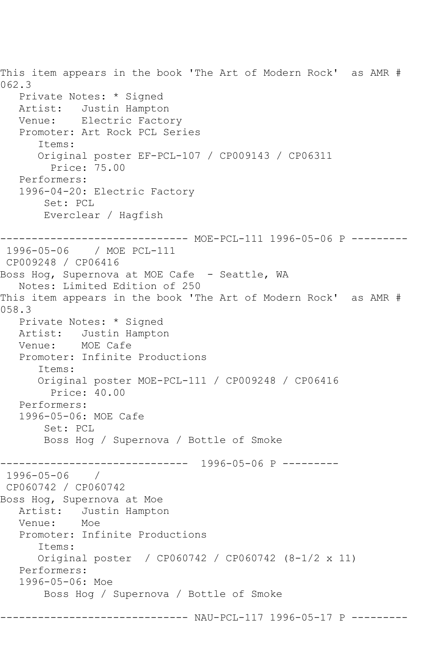This item appears in the book 'The Art of Modern Rock' as AMR # 062.3 Private Notes: \* Signed Artist: Justin Hampton Venue: Electric Factory Promoter: Art Rock PCL Series Items: Original poster EF-PCL-107 / CP009143 / CP06311 Price: 75.00 Performers: 1996-04-20: Electric Factory Set: PCL Everclear / Hagfish ------------------------------ MOE-PCL-111 1996-05-06 P --------- 1996-05-06 / MOE PCL-111 CP009248 / CP06416 Boss Hog, Supernova at MOE Cafe - Seattle, WA Notes: Limited Edition of 250 This item appears in the book 'The Art of Modern Rock' as AMR # 058.3 Private Notes: \* Signed Artist: Justin Hampton Venue: MOE Cafe Promoter: Infinite Productions Items: Original poster MOE-PCL-111 / CP009248 / CP06416 Price: 40.00 Performers: 1996-05-06: MOE Cafe Set: PCL Boss Hog / Supernova / Bottle of Smoke ------------------------------ 1996-05-06 P --------- 1996-05-06 / CP060742 / CP060742 Boss Hog, Supernova at Moe Artist: Justin Hampton Venue: Moe Promoter: Infinite Productions Items: Original poster / CP060742 / CP060742 (8-1/2 x 11) Performers: 1996-05-06: Moe Boss Hog / Supernova / Bottle of Smoke ------------------------------ NAU-PCL-117 1996-05-17 P ---------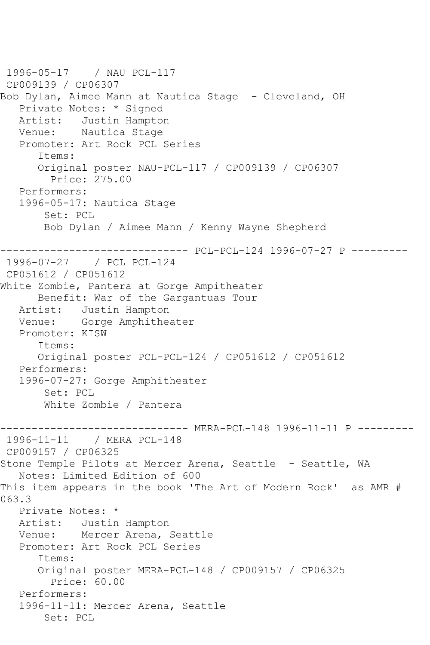```
1996-05-17 / NAU PCL-117
CP009139 / CP06307
Bob Dylan, Aimee Mann at Nautica Stage - Cleveland, OH
   Private Notes: * Signed
   Artist: Justin Hampton
   Venue: Nautica Stage
   Promoter: Art Rock PCL Series
       Items:
       Original poster NAU-PCL-117 / CP009139 / CP06307
         Price: 275.00
   Performers:
   1996-05-17: Nautica Stage
        Set: PCL
        Bob Dylan / Aimee Mann / Kenny Wayne Shepherd
                  ------------------------------ PCL-PCL-124 1996-07-27 P ---------
1996-07-27 / PCL PCL-124
CP051612 / CP051612
White Zombie, Pantera at Gorge Ampitheater
      Benefit: War of the Gargantuas Tour
   Artist: Justin Hampton
   Venue: Gorge Amphitheater
   Promoter: KISW
       Items:
      Original poster PCL-PCL-124 / CP051612 / CP051612
   Performers:
   1996-07-27: Gorge Amphitheater
        Set: PCL
        White Zombie / Pantera
------------------------------ MERA-PCL-148 1996-11-11 P ---------
1996-11-11 / MERA PCL-148
CP009157 / CP06325
Stone Temple Pilots at Mercer Arena, Seattle - Seattle, WA
   Notes: Limited Edition of 600
This item appears in the book 'The Art of Modern Rock' as AMR # 
063.3
   Private Notes: *
   Artist: Justin Hampton
   Venue: Mercer Arena, Seattle
   Promoter: Art Rock PCL Series
       Items:
       Original poster MERA-PCL-148 / CP009157 / CP06325
         Price: 60.00
   Performers:
   1996-11-11: Mercer Arena, Seattle
        Set: PCL
```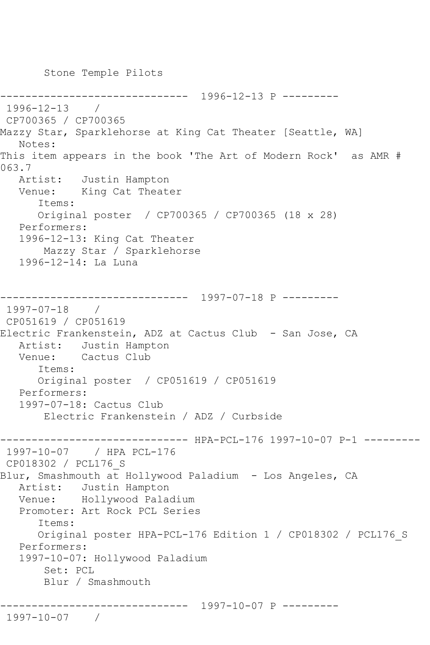Stone Temple Pilots

------------------------------ 1996-12-13 P --------- 1996-12-13 / CP700365 / CP700365 Mazzy Star, Sparklehorse at King Cat Theater [Seattle, WA] Notes: This item appears in the book 'The Art of Modern Rock' as AMR # 063.7 Artist: Justin Hampton Venue: King Cat Theater Items: Original poster / CP700365 / CP700365 (18 x 28) Performers: 1996-12-13: King Cat Theater Mazzy Star / Sparklehorse 1996-12-14: La Luna ------------------------------ 1997-07-18 P --------- 1997-07-18 / CP051619 / CP051619 Electric Frankenstein, ADZ at Cactus Club - San Jose, CA Artist: Justin Hampton Venue: Cactus Club Items: Original poster / CP051619 / CP051619 Performers: 1997-07-18: Cactus Club Electric Frankenstein / ADZ / Curbside ------------------------------ HPA-PCL-176 1997-10-07 P-1 --------- 1997-10-07 / HPA PCL-176 CP018302 / PCL176\_S Blur, Smashmouth at Hollywood Paladium - Los Angeles, CA Artist: Justin Hampton Venue: Hollywood Paladium Promoter: Art Rock PCL Series Items: Original poster HPA-PCL-176 Edition 1 / CP018302 / PCL176\_S Performers: 1997-10-07: Hollywood Paladium Set: PCL Blur / Smashmouth ------------------------------ 1997-10-07 P --------- 1997-10-07 /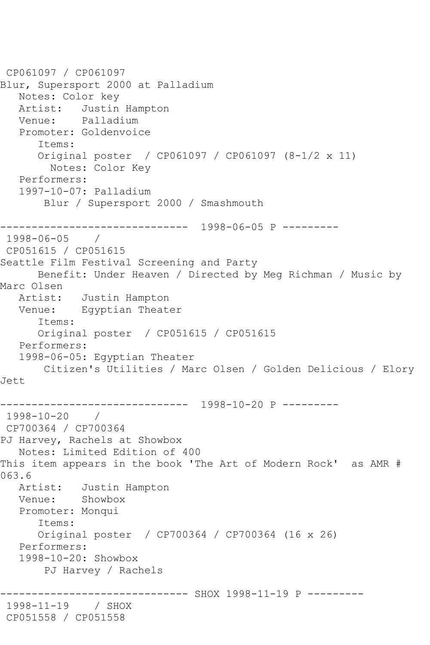```
CP061097 / CP061097
Blur, Supersport 2000 at Palladium
   Notes: Color key
   Artist: Justin Hampton
   Venue: Palladium
   Promoter: Goldenvoice
       Items:
       Original poster / CP061097 / CP061097 (8-1/2 x 11)
         Notes: Color Key
   Performers:
   1997-10-07: Palladium
        Blur / Supersport 2000 / Smashmouth
------------------------------ 1998-06-05 P ---------
1998-06-05 / 
CP051615 / CP051615
Seattle Film Festival Screening and Party
      Benefit: Under Heaven / Directed by Meg Richman / Music by 
Marc Olsen
   Artist: Justin Hampton
   Venue: Egyptian Theater
       Items:
      Original poster / CP051615 / CP051615
   Performers:
   1998-06-05: Egyptian Theater
       Citizen's Utilities / Marc Olsen / Golden Delicious / Elory 
Jett
                   ------------------------------ 1998-10-20 P ---------
1998-10-20 / 
CP700364 / CP700364
PJ Harvey, Rachels at Showbox
   Notes: Limited Edition of 400
This item appears in the book 'The Art of Modern Rock' as AMR # 
063.6
   Artist: Justin Hampton
   Venue: Showbox
   Promoter: Monqui
       Items:
       Original poster / CP700364 / CP700364 (16 x 26)
   Performers:
   1998-10-20: Showbox
        PJ Harvey / Rachels
                     ---------- SHOX 1998-11-19 P ---------
1998-11-19 / SHOX 
CP051558 / CP051558
```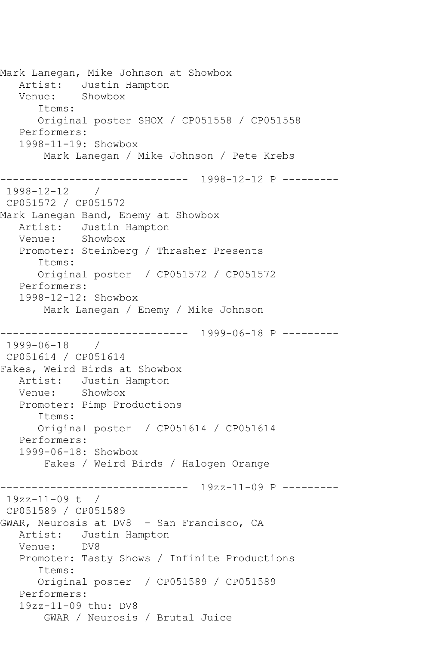Mark Lanegan, Mike Johnson at Showbox Artist: Justin Hampton Venue: Showbox Items: Original poster SHOX / CP051558 / CP051558 Performers: 1998-11-19: Showbox Mark Lanegan / Mike Johnson / Pete Krebs ------------------------------ 1998-12-12 P ---------  $1998 - 12 - 12$ CP051572 / CP051572 Mark Lanegan Band, Enemy at Showbox Artist: Justin Hampton Venue: Showbox Promoter: Steinberg / Thrasher Presents Items: Original poster / CP051572 / CP051572 Performers: 1998-12-12: Showbox Mark Lanegan / Enemy / Mike Johnson ------------------------------ 1999-06-18 P --------- 1999-06-18 / CP051614 / CP051614 Fakes, Weird Birds at Showbox Artist: Justin Hampton Venue: Showbox Promoter: Pimp Productions Items: Original poster / CP051614 / CP051614 Performers: 1999-06-18: Showbox Fakes / Weird Birds / Halogen Orange ------------------------------ 19zz-11-09 P --------- 19zz-11-09 t / CP051589 / CP051589 GWAR, Neurosis at DV8 - San Francisco, CA Artist: Justin Hampton<br>Venue: DV8 Venue: Promoter: Tasty Shows / Infinite Productions Items: Original poster / CP051589 / CP051589 Performers: 19zz-11-09 thu: DV8 GWAR / Neurosis / Brutal Juice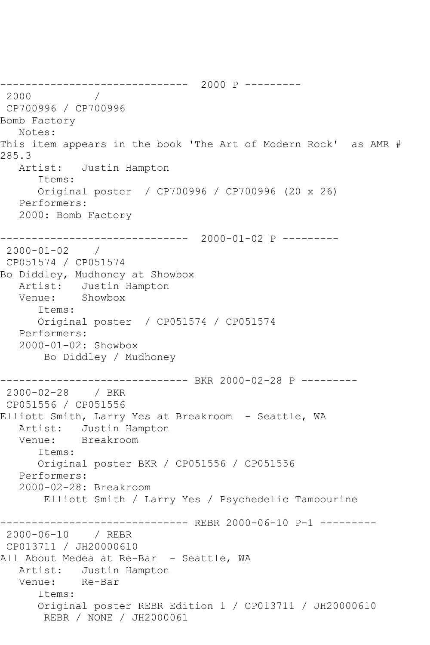------------------------------ 2000 P --------- 2000 / CP700996 / CP700996 Bomb Factory Notes: This item appears in the book 'The Art of Modern Rock' as AMR # 285.3 Artist: Justin Hampton Items: Original poster / CP700996 / CP700996 (20 x 26) Performers: 2000: Bomb Factory ------------------------------ 2000-01-02 P --------- 2000-01-02 / CP051574 / CP051574 Bo Diddley, Mudhoney at Showbox Artist: Justin Hampton Venue: Showbox Items: Original poster / CP051574 / CP051574 Performers: 2000-01-02: Showbox Bo Diddley / Mudhoney ------------------------------ BKR 2000-02-28 P --------- 2000-02-28 / BKR CP051556 / CP051556 Elliott Smith, Larry Yes at Breakroom - Seattle, WA Artist: Justin Hampton Venue: Breakroom Items: Original poster BKR / CP051556 / CP051556 Performers: 2000-02-28: Breakroom Elliott Smith / Larry Yes / Psychedelic Tambourine ------------------------------ REBR 2000-06-10 P-1 --------- 2000-06-10 / REBR CP013711 / JH20000610 All About Medea at Re-Bar - Seattle, WA Artist: Justin Hampton<br>Venue: Re-Bar Venue: Items: Original poster REBR Edition 1 / CP013711 / JH20000610 REBR / NONE / JH2000061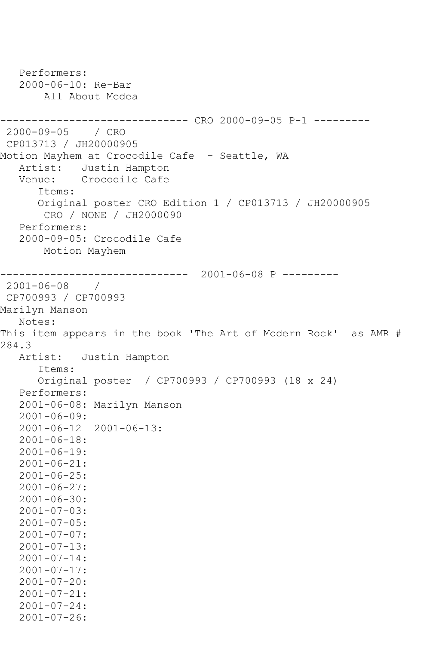Performers: 2000-06-10: Re-Bar All About Medea ------------------------------ CRO 2000-09-05 P-1 --------- 2000-09-05 / CRO CP013713 / JH20000905 Motion Mayhem at Crocodile Cafe - Seattle, WA Artist: Justin Hampton Venue: Crocodile Cafe Items: Original poster CRO Edition 1 / CP013713 / JH20000905 CRO / NONE / JH2000090 Performers: 2000-09-05: Crocodile Cafe Motion Mayhem ------------------------------ 2001-06-08 P --------- 2001-06-08 / CP700993 / CP700993 Marilyn Manson Notes: This item appears in the book 'The Art of Modern Rock' as AMR # 284.3 Artist: Justin Hampton Items: Original poster / CP700993 / CP700993 (18 x 24) Performers: 2001-06-08: Marilyn Manson 2001-06-09: 2001-06-12 2001-06-13: 2001-06-18:  $2001 - 06 - 19:$  2001-06-21: 2001-06-25: 2001-06-27: 2001-06-30: 2001-07-03: 2001-07-05:  $2001 - 07 - 07:$  2001-07-13: 2001-07-14: 2001-07-17: 2001-07-20: 2001-07-21: 2001-07-24: 2001-07-26: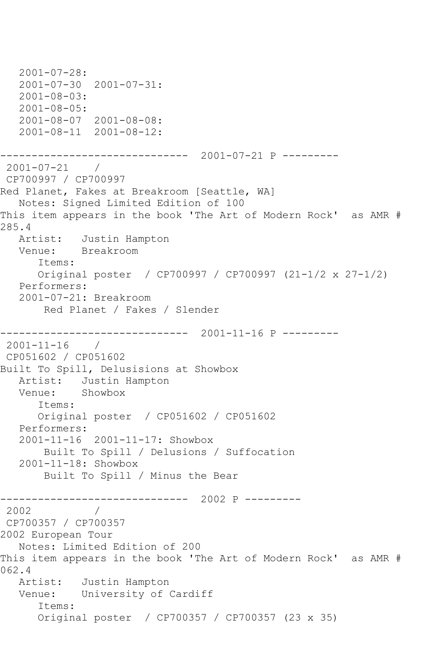```
 2001-07-28:
   2001-07-30 2001-07-31:
   2001-08-03:
   2001-08-05:
   2001-08-07 2001-08-08:
   2001-08-11 2001-08-12:
------------------------------ 2001-07-21 P ---------
2001-07-21 / 
CP700997 / CP700997
Red Planet, Fakes at Breakroom [Seattle, WA]
   Notes: Signed Limited Edition of 100
This item appears in the book 'The Art of Modern Rock' as AMR # 
285.4
   Artist: Justin Hampton
   Venue: Breakroom
       Items:
      Original poster / CP700997 / CP700997 (21-1/2 x 27-1/2)
   Performers:
   2001-07-21: Breakroom
        Red Planet / Fakes / Slender
                ------------------------------ 2001-11-16 P ---------
2001-11-16 / 
CP051602 / CP051602
Built To Spill, Delusisions at Showbox
  Artist: Justin Hampton<br>Venue: Showbox
  Venue:
       Items:
       Original poster / CP051602 / CP051602
   Performers:
   2001-11-16 2001-11-17: Showbox
        Built To Spill / Delusions / Suffocation
   2001-11-18: Showbox
        Built To Spill / Minus the Bear
------------------------------ 2002 P ---------
2002 / 
CP700357 / CP700357
2002 European Tour
   Notes: Limited Edition of 200
This item appears in the book 'The Art of Modern Rock' as AMR # 
062.4
   Artist: Justin Hampton
   Venue: University of Cardiff
       Items:
       Original poster / CP700357 / CP700357 (23 x 35)
```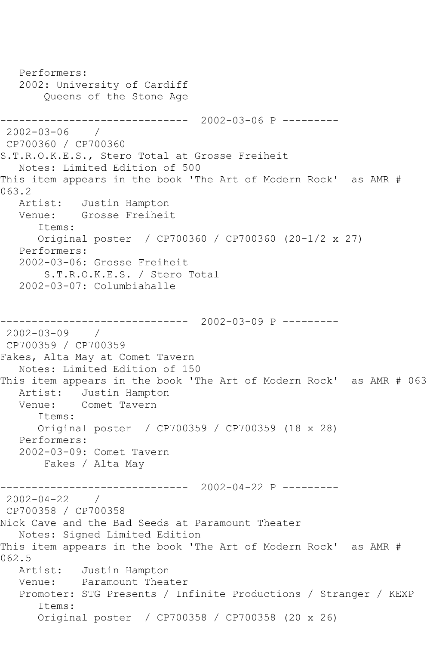Performers: 2002: University of Cardiff Queens of the Stone Age ------------------------------ 2002-03-06 P --------- 2002-03-06 / CP700360 / CP700360 S.T.R.O.K.E.S., Stero Total at Grosse Freiheit Notes: Limited Edition of 500 This item appears in the book 'The Art of Modern Rock' as AMR # 063.2<br>Artist: Justin Hampton Venue: Grosse Freiheit Items: Original poster / CP700360 / CP700360 (20-1/2 x 27) Performers: 2002-03-06: Grosse Freiheit S.T.R.O.K.E.S. / Stero Total 2002-03-07: Columbiahalle ------------------------------ 2002-03-09 P --------- 2002-03-09 / CP700359 / CP700359 Fakes, Alta May at Comet Tavern Notes: Limited Edition of 150 This item appears in the book 'The Art of Modern Rock' as AMR # 063 Artist: Justin Hampton Venue: Comet Tavern Items: Original poster / CP700359 / CP700359 (18 x 28) Performers: 2002-03-09: Comet Tavern Fakes / Alta May ------------------------------ 2002-04-22 P ---------  $2002 - 04 - 22$ CP700358 / CP700358 Nick Cave and the Bad Seeds at Paramount Theater Notes: Signed Limited Edition This item appears in the book 'The Art of Modern Rock' as AMR # 062.5<br>Artist: Justin Hampton Venue: Paramount Theater Promoter: STG Presents / Infinite Productions / Stranger / KEXP Items: Original poster / CP700358 / CP700358 (20 x 26)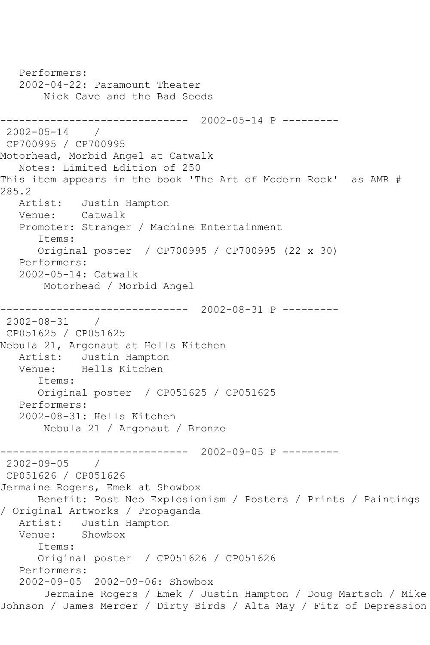```
 Performers:
   2002-04-22: Paramount Theater
        Nick Cave and the Bad Seeds
------------------------------ 2002-05-14 P ---------
2002-05-14 / 
CP700995 / CP700995
Motorhead, Morbid Angel at Catwalk
   Notes: Limited Edition of 250
This item appears in the book 'The Art of Modern Rock' as AMR # 
285.2<br>Artist:
            Justin Hampton<br>Catwalk
  Venue:
   Promoter: Stranger / Machine Entertainment
       Items:
       Original poster / CP700995 / CP700995 (22 x 30)
   Performers:
    2002-05-14: Catwalk
        Motorhead / Morbid Angel
------------------------------ 2002-08-31 P ---------
2002-08-31 / 
CP051625 / CP051625
Nebula 21, Argonaut at Hells Kitchen
  Artist: Justin Hampton<br>Venue: Hells Kitchen
            Hells Kitchen
       Items:
       Original poster / CP051625 / CP051625
   Performers:
    2002-08-31: Hells Kitchen
        Nebula 21 / Argonaut / Bronze
------------------------------ 2002-09-05 P ---------
2002 - 09 - 05CP051626 / CP051626
Jermaine Rogers, Emek at Showbox
       Benefit: Post Neo Explosionism / Posters / Prints / Paintings 
/ Original Artworks / Propaganda
  Artist: Justin Hampton<br>Venue: Showbox
            Showbox
       Items:
       Original poster / CP051626 / CP051626
   Performers:
    2002-09-05 2002-09-06: Showbox
        Jermaine Rogers / Emek / Justin Hampton / Doug Martsch / Mike 
Johnson / James Mercer / Dirty Birds / Alta May / Fitz of Depression
```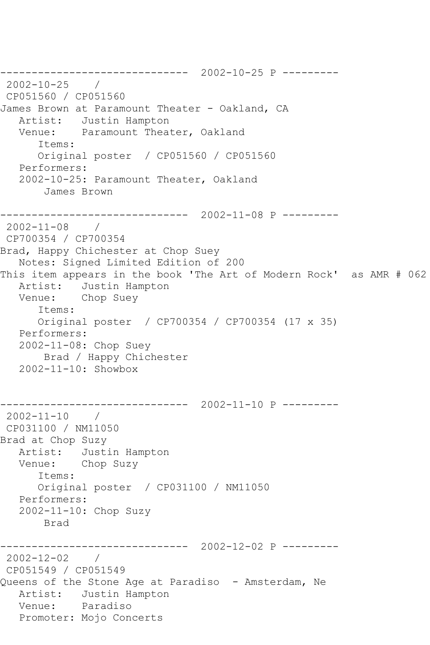------------------------------ 2002-10-25 P --------- 2002-10-25 / CP051560 / CP051560 James Brown at Paramount Theater - Oakland, CA Artist: Justin Hampton Venue: Paramount Theater, Oakland Items: Original poster / CP051560 / CP051560 Performers: 2002-10-25: Paramount Theater, Oakland James Brown ------------------------------ 2002-11-08 P --------- 2002-11-08 / CP700354 / CP700354 Brad, Happy Chichester at Chop Suey Notes: Signed Limited Edition of 200 This item appears in the book 'The Art of Modern Rock' as AMR # 062 Artist: Justin Hampton Venue: Chop Suey Items: Original poster / CP700354 / CP700354 (17 x 35) Performers: 2002-11-08: Chop Suey Brad / Happy Chichester 2002-11-10: Showbox ------------------------------ 2002-11-10 P --------- 2002-11-10 / CP031100 / NM11050 Brad at Chop Suzy Artist: Justin Hampton<br>Venue: Chop Suzv Chop Suzy Items: Original poster / CP031100 / NM11050 Performers: 2002-11-10: Chop Suzy Brad ------------------------------ 2002-12-02 P --------- 2002-12-02 / CP051549 / CP051549 Queens of the Stone Age at Paradiso - Amsterdam, Ne Artist: Justin Hampton Venue: Paradiso Promoter: Mojo Concerts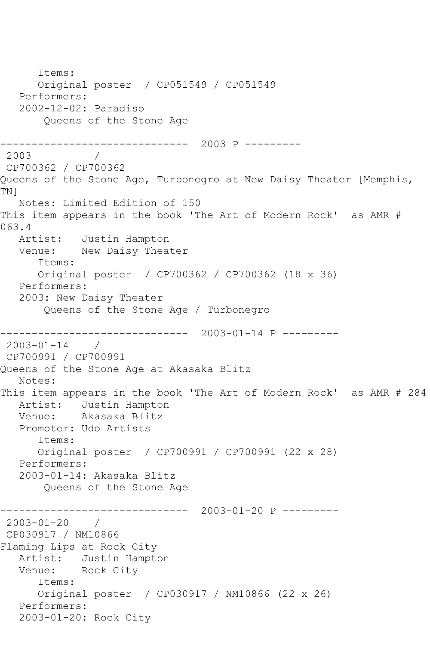Items: Original poster / CP051549 / CP051549 Performers: 2002-12-02: Paradiso Queens of the Stone Age ------------------------------ 2003 P --------- 2003 / CP700362 / CP700362 Queens of the Stone Age, Turbonegro at New Daisy Theater [Memphis, TN] Notes: Limited Edition of 150 This item appears in the book 'The Art of Modern Rock' as AMR # 063.4 Artist: Justin Hampton Venue: New Daisy Theater Items: Original poster / CP700362 / CP700362 (18 x 36) Performers: 2003: New Daisy Theater Queens of the Stone Age / Turbonegro ------------------------------ 2003-01-14 P --------- 2003-01-14 / CP700991 / CP700991 Queens of the Stone Age at Akasaka Blitz Notes: This item appears in the book 'The Art of Modern Rock' as AMR # 284 Artist: Justin Hampton Venue: Akasaka Blitz Promoter: Udo Artists Items: Original poster / CP700991 / CP700991 (22 x 28) Performers: 2003-01-14: Akasaka Blitz Queens of the Stone Age ------------------------------ 2003-01-20 P --------- 2003-01-20 / CP030917 / NM10866 Flaming Lips at Rock City Artist: Justin Hampton Venue: Rock City Items: Original poster / CP030917 / NM10866 (22 x 26) Performers: 2003-01-20: Rock City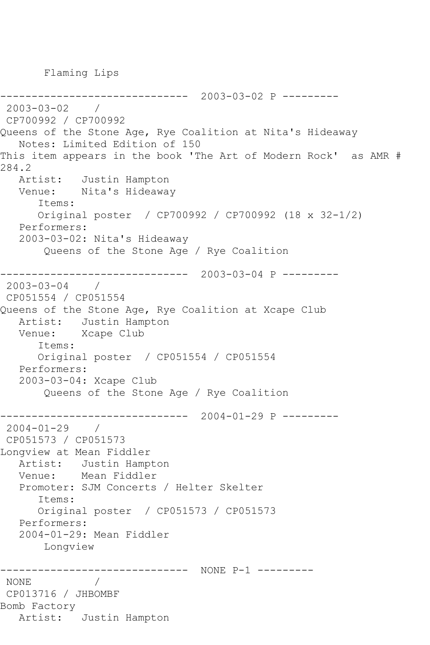Flaming Lips

------------------------------ 2003-03-02 P --------- 2003-03-02 / CP700992 / CP700992 Queens of the Stone Age, Rye Coalition at Nita's Hideaway Notes: Limited Edition of 150 This item appears in the book 'The Art of Modern Rock' as AMR # 284.2 Artist: Justin Hampton Venue: Nita's Hideaway Items: Original poster / CP700992 / CP700992 (18 x 32-1/2) Performers: 2003-03-02: Nita's Hideaway Queens of the Stone Age / Rye Coalition ------------------------------ 2003-03-04 P --------- 2003-03-04 / CP051554 / CP051554 Queens of the Stone Age, Rye Coalition at Xcape Club Artist: Justin Hampton Venue: Xcape Club Items: Original poster / CP051554 / CP051554 Performers: 2003-03-04: Xcape Club Queens of the Stone Age / Rye Coalition ------------------------------ 2004-01-29 P --------- 2004-01-29 / CP051573 / CP051573 Longview at Mean Fiddler Artist: Justin Hampton Venue: Mean Fiddler Promoter: SJM Concerts / Helter Skelter Items: Original poster / CP051573 / CP051573 Performers: 2004-01-29: Mean Fiddler Longview ------------------------------ NONE P-1 --------- NONE / CP013716 / JHBOMBF Bomb Factory Artist: Justin Hampton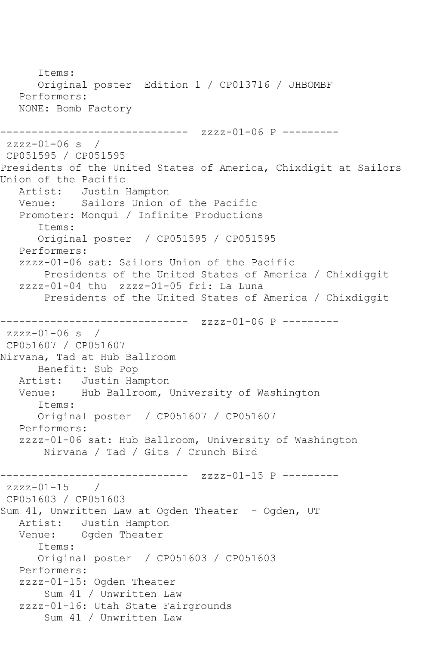Items: Original poster Edition 1 / CP013716 / JHBOMBF Performers: NONE: Bomb Factory ------------------------------ zzzz-01-06 P --------  $zzzz-01-06$  s / CP051595 / CP051595 Presidents of the United States of America, Chixdigit at Sailors Union of the Pacific Artist: Justin Hampton Venue: Sailors Union of the Pacific Promoter: Monqui / Infinite Productions Items: Original poster / CP051595 / CP051595 Performers: zzzz-01-06 sat: Sailors Union of the Pacific Presidents of the United States of America / Chixdiggit zzzz-01-04 thu zzzz-01-05 fri: La Luna Presidents of the United States of America / Chixdiggit ------------------------------ zzzz-01-06 P --------  $zzzz-01-06$  s / CP051607 / CP051607 Nirvana, Tad at Hub Ballroom Benefit: Sub Pop Artist: Justin Hampton Venue: Hub Ballroom, University of Washington Items: Original poster / CP051607 / CP051607 Performers: zzzz-01-06 sat: Hub Ballroom, University of Washington Nirvana / Tad / Gits / Crunch Bird ------------ zzzz-01-15 P --------zzzz-01-15 / CP051603 / CP051603 Sum 41, Unwritten Law at Ogden Theater - Ogden, UT Artist: Justin Hampton<br>Venue: Ogden Theater Ogden Theater Items: Original poster / CP051603 / CP051603 Performers: zzzz-01-15: Ogden Theater Sum 41 / Unwritten Law zzzz-01-16: Utah State Fairgrounds Sum 41 / Unwritten Law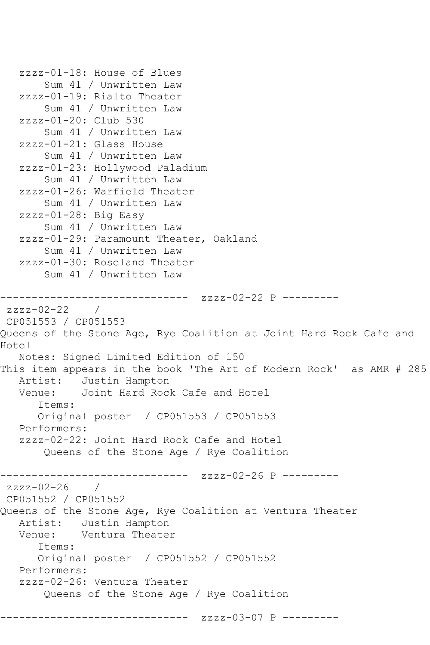```
 zzzz-01-18: House of Blues
        Sum 41 / Unwritten Law
    zzzz-01-19: Rialto Theater
        Sum 41 / Unwritten Law
    zzzz-01-20: Club 530
        Sum 41 / Unwritten Law
    zzzz-01-21: Glass House
        Sum 41 / Unwritten Law
    zzzz-01-23: Hollywood Paladium
        Sum 41 / Unwritten Law
    zzzz-01-26: Warfield Theater
        Sum 41 / Unwritten Law
    zzzz-01-28: Big Easy
        Sum 41 / Unwritten Law
    zzzz-01-29: Paramount Theater, Oakland
        Sum 41 / Unwritten Law
    zzzz-01-30: Roseland Theater
        Sum 41 / Unwritten Law
------------------------------ zzzz-02-22 P ---------
zzzz-02-22CP051553 / CP051553
Queens of the Stone Age, Rye Coalition at Joint Hard Rock Cafe and 
Hotel
   Notes: Signed Limited Edition of 150
This item appears in the book 'The Art of Modern Rock' as AMR # 285
  Artist: Justin Hampton<br>Venue: Joint Hard Roc
            Joint Hard Rock Cafe and Hotel
       Items:
       Original poster / CP051553 / CP051553
   Performers:
    zzzz-02-22: Joint Hard Rock Cafe and Hotel
        Queens of the Stone Age / Rye Coalition
                --------------- zzzz-02-26 P ---------
zzzz-02-26 / 
CP051552 / CP051552
Queens of the Stone Age, Rye Coalition at Ventura Theater
  Artist: Justin Hampton<br>Venue: Ventura Theate
            Ventura Theater
       Items:
       Original poster / CP051552 / CP051552
   Performers:
    zzzz-02-26: Ventura Theater
        Queens of the Stone Age / Rye Coalition
               ------------------------------ zzzz-03-07 P ---------
```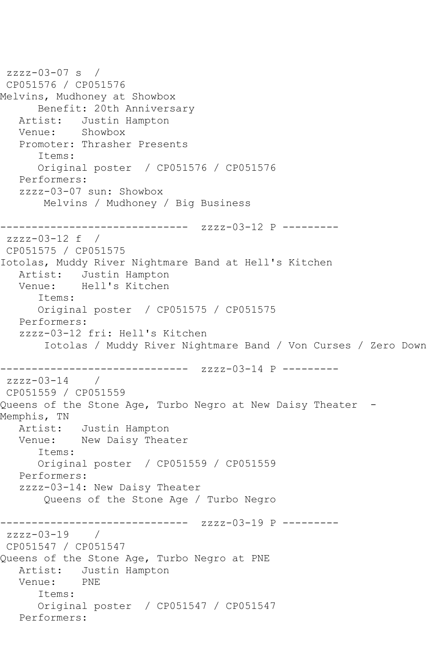```
zzzz-03-07 s / 
CP051576 / CP051576
Melvins, Mudhoney at Showbox
      Benefit: 20th Anniversary
   Artist: Justin Hampton
   Venue: Showbox
   Promoter: Thrasher Presents
      Items:
      Original poster / CP051576 / CP051576
   Performers:
   zzzz-03-07 sun: Showbox
       Melvins / Mudhoney / Big Business
------------------------------ zzzz-03-12 P ---------
zzzz-03-12 f / 
CP051575 / CP051575
Iotolas, Muddy River Nightmare Band at Hell's Kitchen
   Artist: Justin Hampton
   Venue: Hell's Kitchen
      Items:
      Original poster / CP051575 / CP051575
   Performers:
   zzzz-03-12 fri: Hell's Kitchen
        Iotolas / Muddy River Nightmare Band / Von Curses / Zero Down
------------------------------ zzzz-03-14 P ---------
zzzz-03-14 / 
CP051559 / CP051559
Queens of the Stone Age, Turbo Negro at New Daisy Theater -
Memphis, TN
   Artist: Justin Hampton
   Venue: New Daisy Theater
      Items:
      Original poster / CP051559 / CP051559
   Performers:
   zzzz-03-14: New Daisy Theater
       Queens of the Stone Age / Turbo Negro
------------------------------ zzzz-03-19 P ---------
zzzz-03-19CP051547 / CP051547
Queens of the Stone Age, Turbo Negro at PNE
   Artist: Justin Hampton
   Venue: PNE
      Items:
      Original poster / CP051547 / CP051547
   Performers:
```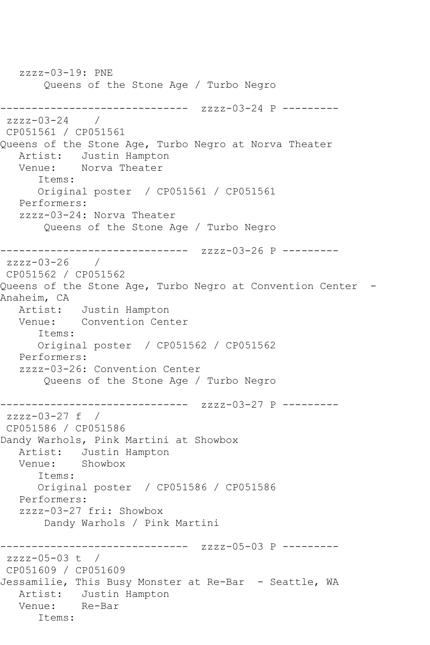zzzz-03-19: PNE Queens of the Stone Age / Turbo Negro ------------------------------ zzzz-03-24 P --------  $zzzz-03-24$ CP051561 / CP051561 Queens of the Stone Age, Turbo Negro at Norva Theater Artist: Justin Hampton Venue: Norva Theater Items: Original poster / CP051561 / CP051561 Performers: zzzz-03-24: Norva Theater Queens of the Stone Age / Turbo Negro ------------------------------ zzzz-03-26 P -------- zzzz-03-26 / CP051562 / CP051562 Queens of the Stone Age, Turbo Negro at Convention Center -Anaheim, CA Artist: Justin Hampton Venue: Convention Center Items: Original poster / CP051562 / CP051562 Performers: zzzz-03-26: Convention Center Queens of the Stone Age / Turbo Negro ------------------------------ zzzz-03-27 P -------- zzzz-03-27 f / CP051586 / CP051586 Dandy Warhols, Pink Martini at Showbox Artist: Justin Hampton<br>Venue: Showbox Showbox Items: Original poster / CP051586 / CP051586 Performers: zzzz-03-27 fri: Showbox Dandy Warhols / Pink Martini ------------------------------ zzzz-05-03 P --------  $zzzz-05-03$  t / CP051609 / CP051609 Jessamilie, This Busy Monster at Re-Bar - Seattle, WA Artist: Justin Hampton Venue: Re-Bar Items: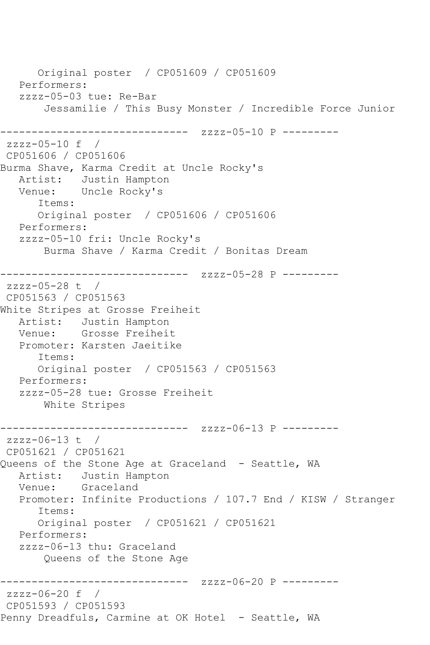Original poster / CP051609 / CP051609 Performers: zzzz-05-03 tue: Re-Bar Jessamilie / This Busy Monster / Incredible Force Junior ------------------------------ zzzz-05-10 P -------- zzzz-05-10 f / CP051606 / CP051606 Burma Shave, Karma Credit at Uncle Rocky's Artist: Justin Hampton Venue: Uncle Rocky's Items: Original poster / CP051606 / CP051606 Performers: zzzz-05-10 fri: Uncle Rocky's Burma Shave / Karma Credit / Bonitas Dream ------------------------------ zzzz-05-28 P -------- zzzz-05-28 t / CP051563 / CP051563 White Stripes at Grosse Freiheit Artist: Justin Hampton Venue: Grosse Freiheit Promoter: Karsten Jaeitike Items: Original poster / CP051563 / CP051563 Performers: zzzz-05-28 tue: Grosse Freiheit White Stripes ---------------------- zzzz-06-13 P --------zzzz-06-13 t / CP051621 / CP051621 Queens of the Stone Age at Graceland - Seattle, WA Artist: Justin Hampton Venue: Graceland Promoter: Infinite Productions / 107.7 End / KISW / Stranger Items: Original poster / CP051621 / CP051621 Performers: zzzz-06-13 thu: Graceland Queens of the Stone Age ------------------------------ zzzz-06-20 P -------- zzzz-06-20 f / CP051593 / CP051593 Penny Dreadfuls, Carmine at OK Hotel - Seattle, WA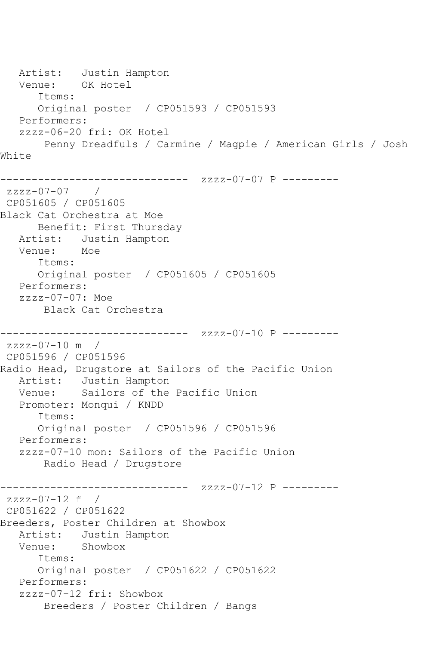```
Artist: Justin Hampton<br>Venue: OK Hotel
  Venue:
       Items:
       Original poster / CP051593 / CP051593
    Performers:
    zzzz-06-20 fri: OK Hotel
        Penny Dreadfuls / Carmine / Magpie / American Girls / Josh 
White
               ------------------------------ zzzz-07-07 P ---------
zzzz-07-07 / 
CP051605 / CP051605
Black Cat Orchestra at Moe
       Benefit: First Thursday
   Artist: Justin Hampton
   Venue: Moe
       Items:
       Original poster / CP051605 / CP051605
   Performers:
   zzzz-07-07: Moe
        Black Cat Orchestra
         ------------------------------ zzzz-07-10 P ---------
zzzz-07-10 m / 
CP051596 / CP051596
Radio Head, Drugstore at Sailors of the Pacific Union
   Artist: Justin Hampton
   Venue: Sailors of the Pacific Union
   Promoter: Monqui / KNDD
       Items:
       Original poster / CP051596 / CP051596
    Performers:
    zzzz-07-10 mon: Sailors of the Pacific Union
        Radio Head / Drugstore
         ------------------------------ zzzz-07-12 P ---------
zzzz-07-12 f / 
CP051622 / CP051622
Breeders, Poster Children at Showbox
   Artist: Justin Hampton
   Venue: Showbox
       Items:
       Original poster / CP051622 / CP051622
    Performers:
    zzzz-07-12 fri: Showbox
        Breeders / Poster Children / Bangs
```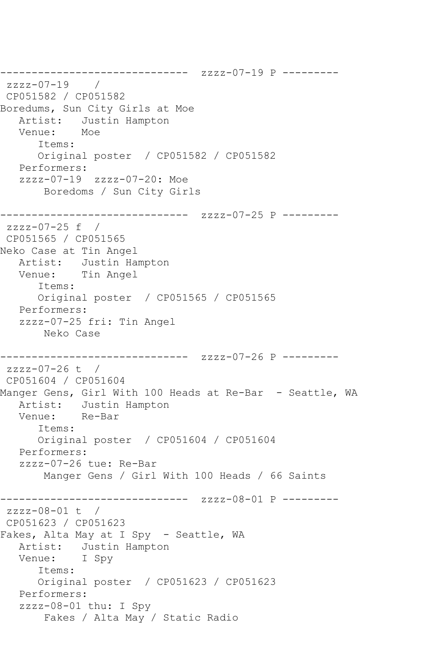------------------------------ zzzz-07-19 P -------- zzzz-07-19 / CP051582 / CP051582 Boredums, Sun City Girls at Moe Artist: Justin Hampton<br>Venue: Moe Venue: Items: Original poster / CP051582 / CP051582 Performers: zzzz-07-19 zzzz-07-20: Moe Boredoms / Sun City Girls ------------------------------ zzzz-07-25 P -------- zzzz-07-25 f / CP051565 / CP051565 Neko Case at Tin Angel Artist: Justin Hampton Venue: Tin Angel Items: Original poster / CP051565 / CP051565 Performers: zzzz-07-25 fri: Tin Angel Neko Case ------------------------------ zzzz-07-26 P --------  $zzzz-07-26$  t / CP051604 / CP051604 Manger Gens, Girl With 100 Heads at Re-Bar - Seattle, WA Artist: Justin Hampton Venue: Re-Bar Items: Original poster / CP051604 / CP051604 Performers: zzzz-07-26 tue: Re-Bar Manger Gens / Girl With 100 Heads / 66 Saints -------------- zzzz-08-01 P --------zzzz-08-01 t / CP051623 / CP051623 Fakes, Alta May at I Spy - Seattle, WA Artist: Justin Hampton Venue: I Spy Items: Original poster / CP051623 / CP051623 Performers: zzzz-08-01 thu: I Spy Fakes / Alta May / Static Radio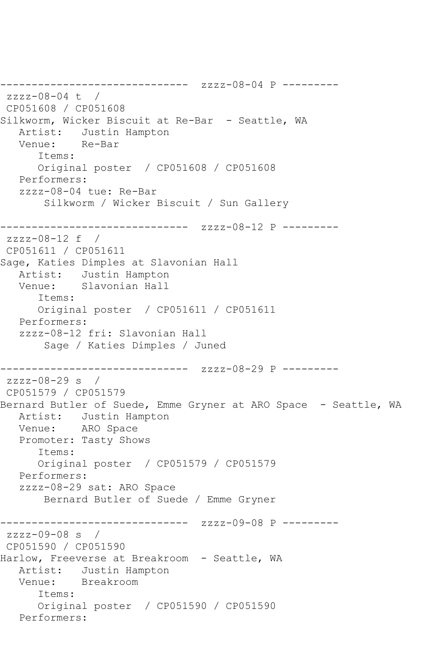```
------------------------------ zzzz-08-04 P ---------
zzzz-08-04 t / 
CP051608 / CP051608
Silkworm, Wicker Biscuit at Re-Bar - Seattle, WA<br>Artist: Justin Hampton
           Justin Hampton
   Venue: Re-Bar
       Items:
       Original poster / CP051608 / CP051608
   Performers:
    zzzz-08-04 tue: Re-Bar
        Silkworm / Wicker Biscuit / Sun Gallery
------------------------------ zzzz-08-12 P ---------
zzzz-08-12 f / 
CP051611 / CP051611
Sage, Katies Dimples at Slavonian Hall
   Artist: Justin Hampton
   Venue: Slavonian Hall
       Items:
       Original poster / CP051611 / CP051611
    Performers:
    zzzz-08-12 fri: Slavonian Hall
        Sage / Katies Dimples / Juned
       ------------------------------ zzzz-08-29 P ---------
zzzz-08-29 s / 
CP051579 / CP051579
Bernard Butler of Suede, Emme Gryner at ARO Space - Seattle, WA
   Artist: Justin Hampton
   Venue: ARO Space
    Promoter: Tasty Shows
       Items:
       Original poster / CP051579 / CP051579
   Performers:
   zzzz-08-29 sat: ARO Space
        Bernard Butler of Suede / Emme Gryner
         ------------------------------ zzzz-09-08 P ---------
zzzz-09-08 s /
CP051590 / CP051590
Harlow, Freeverse at Breakroom - Seattle, WA
   Artist: Justin Hampton
   Venue: Breakroom
       Items:
       Original poster / CP051590 / CP051590
   Performers:
```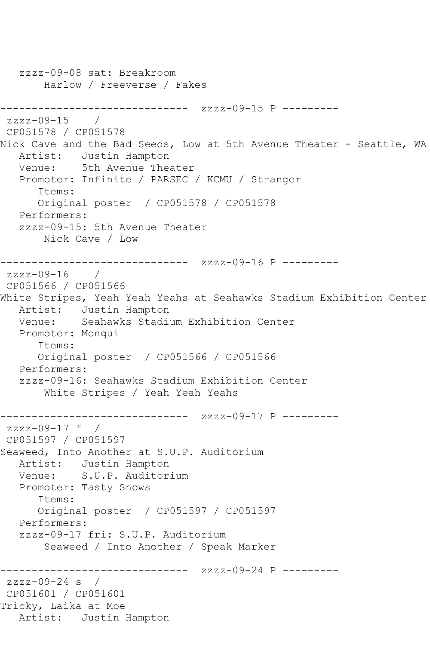```
 zzzz-09-08 sat: Breakroom
       Harlow / Freeverse / Fakes
------------------------------ zzzz-09-15 P ---------
zzzz-09-15 / 
CP051578 / CP051578
Nick Cave and the Bad Seeds, Low at 5th Avenue Theater - Seattle, WA
   Artist: Justin Hampton
   Venue: 5th Avenue Theater
   Promoter: Infinite / PARSEC / KCMU / Stranger
      Items:
      Original poster / CP051578 / CP051578
   Performers:
   zzzz-09-15: 5th Avenue Theater
       Nick Cave / Low
------------------------------ zzzz-09-16 P ---------
zzzz-09-16 / 
CP051566 / CP051566
White Stripes, Yeah Yeah Yeahs at Seahawks Stadium Exhibition Center
   Artist: Justin Hampton
   Venue: Seahawks Stadium Exhibition Center
   Promoter: Monqui
      Items:
      Original poster / CP051566 / CP051566
   Performers:
   zzzz-09-16: Seahawks Stadium Exhibition Center
       White Stripes / Yeah Yeah Yeahs
------------------------------ zzzz-09-17 P ---------
zzzz-09-17 f / 
CP051597 / CP051597
Seaweed, Into Another at S.U.P. Auditorium
   Artist: Justin Hampton
   Venue: S.U.P. Auditorium
   Promoter: Tasty Shows
      Items:
      Original poster / CP051597 / CP051597
   Performers:
   zzzz-09-17 fri: S.U.P. Auditorium
        Seaweed / Into Another / Speak Marker
------------------------------ zzzz-09-24 P ---------
zzzz-09-24 s / 
CP051601 / CP051601
Tricky, Laika at Moe
   Artist: Justin Hampton
```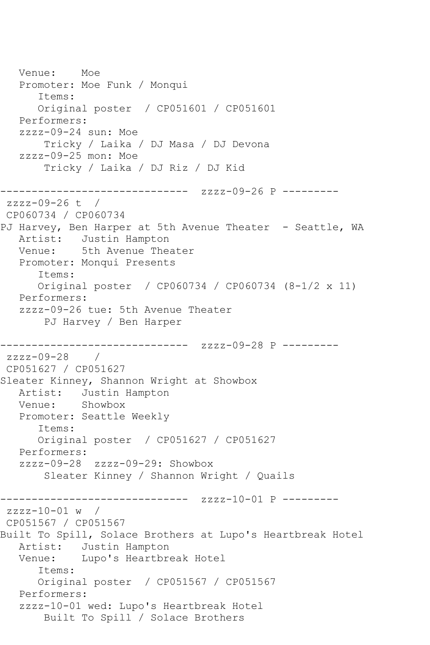```
 Venue: Moe
   Promoter: Moe Funk / Monqui
      Items:
      Original poster / CP051601 / CP051601
   Performers:
   zzzz-09-24 sun: Moe
       Tricky / Laika / DJ Masa / DJ Devona
   zzzz-09-25 mon: Moe
       Tricky / Laika / DJ Riz / DJ Kid
------------------------------ zzzz-09-26 P ---------
zzzz-09-26 t / 
CP060734 / CP060734
PJ Harvey, Ben Harper at 5th Avenue Theater - Seattle, WA
   Artist: Justin Hampton
   Venue: 5th Avenue Theater
   Promoter: Monqui Presents
      Items:
      Original poster / CP060734 / CP060734 (8-1/2 x 11)
   Performers:
   zzzz-09-26 tue: 5th Avenue Theater
       PJ Harvey / Ben Harper
------------------------------ zzzz-09-28 P ---------
zzzz-09-28 / 
CP051627 / CP051627
Sleater Kinney, Shannon Wright at Showbox
   Artist: Justin Hampton
   Venue: Showbox
   Promoter: Seattle Weekly
      Items:
      Original poster / CP051627 / CP051627
   Performers:
   zzzz-09-28 zzzz-09-29: Showbox
        Sleater Kinney / Shannon Wright / Quails
------------------------------ zzzz-10-01 P ---------
zzzz-10-01 w / 
CP051567 / CP051567
Built To Spill, Solace Brothers at Lupo's Heartbreak Hotel
   Artist: Justin Hampton
   Venue: Lupo's Heartbreak Hotel
      Items:
      Original poster / CP051567 / CP051567
   Performers:
   zzzz-10-01 wed: Lupo's Heartbreak Hotel
       Built To Spill / Solace Brothers
```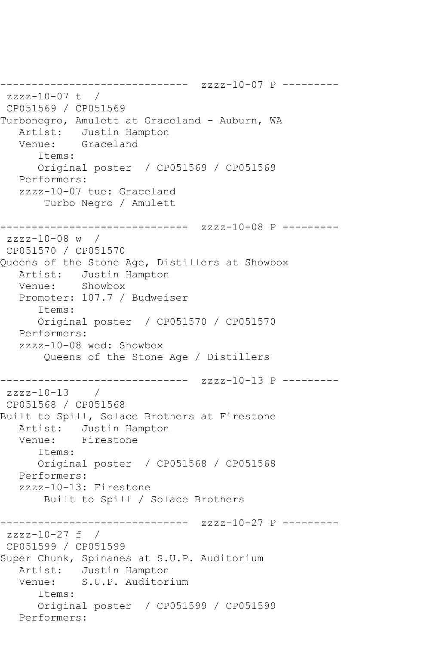```
------------------------------ zzzz-10-07 P ---------
zzzz-10-07 t / 
CP051569 / CP051569
Turbonegro, Amulett at Graceland - Auburn, WA
   Artist: Justin Hampton
   Venue: Graceland
      Items:
      Original poster / CP051569 / CP051569
   Performers:
   zzzz-10-07 tue: Graceland
       Turbo Negro / Amulett
------------------------------ zzzz-10-08 P ---------
zzzz-10-08 w / 
CP051570 / CP051570
Queens of the Stone Age, Distillers at Showbox
   Artist: Justin Hampton
   Venue: Showbox
   Promoter: 107.7 / Budweiser
      Items:
      Original poster / CP051570 / CP051570
   Performers:
   zzzz-10-08 wed: Showbox
       Queens of the Stone Age / Distillers
------------------------------ zzzz-10-13 P ---------
zzzz-10-13 / 
CP051568 / CP051568
Built to Spill, Solace Brothers at Firestone
   Artist: Justin Hampton
   Venue: Firestone
      Items:
      Original poster / CP051568 / CP051568
   Performers:
   zzzz-10-13: Firestone
       Built to Spill / Solace Brothers
------------------------------ zzzz-10-27 P ---------
zzzz-10-27 f /
CP051599 / CP051599
Super Chunk, Spinanes at S.U.P. Auditorium
 Artist: Justin Hampton
 Venue: S.U.P. Auditorium
      Items:
      Original poster / CP051599 / CP051599
   Performers:
```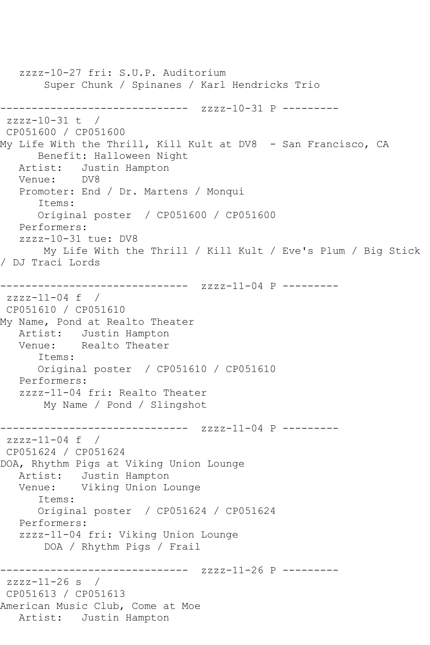zzzz-10-27 fri: S.U.P. Auditorium Super Chunk / Spinanes / Karl Hendricks Trio ------------------------------ zzzz-10-31 P --------  $zzzz-10-31$  t / CP051600 / CP051600 My Life With the Thrill, Kill Kult at DV8 - San Francisco, CA Benefit: Halloween Night Artist: Justin Hampton<br>Venue: DV8 Venue: Promoter: End / Dr. Martens / Monqui Items: Original poster / CP051600 / CP051600 Performers: zzzz-10-31 tue: DV8 My Life With the Thrill / Kill Kult / Eve's Plum / Big Stick / DJ Traci Lords ------------------------------ zzzz-11-04 P -------- zzzz-11-04 f / CP051610 / CP051610 My Name, Pond at Realto Theater Artist: Justin Hampton Venue: Realto Theater Items: Original poster / CP051610 / CP051610 Performers: zzzz-11-04 fri: Realto Theater My Name / Pond / Slingshot ------------------------------ zzzz-11-04 P -------- zzzz-11-04 f / CP051624 / CP051624 DOA, Rhythm Pigs at Viking Union Lounge Artist: Justin Hampton Venue: Viking Union Lounge Items: Original poster / CP051624 / CP051624 Performers: zzzz-11-04 fri: Viking Union Lounge DOA / Rhythm Pigs / Frail ------------------------------ zzzz-11-26 P -------- zzzz-11-26 s / CP051613 / CP051613 American Music Club, Come at Moe Artist: Justin Hampton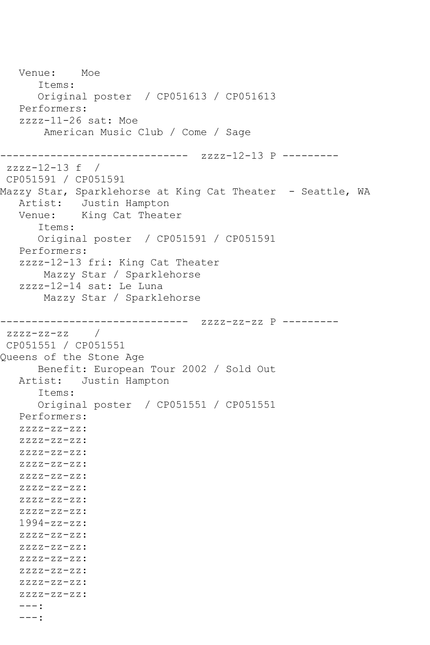Venue: Moe Items: Original poster / CP051613 / CP051613 Performers: zzzz-11-26 sat: Moe American Music Club / Come / Sage ------------------------------ zzzz-12-13 P -------- zzzz-12-13 f / CP051591 / CP051591 Mazzy Star, Sparklehorse at King Cat Theater - Seattle, WA Artist: Justin Hampton Venue: King Cat Theater Items: Original poster / CP051591 / CP051591 Performers: zzzz-12-13 fri: King Cat Theater Mazzy Star / Sparklehorse zzzz-12-14 sat: Le Luna Mazzy Star / Sparklehorse ------------------------------ zzzz-zz-zz P --------  $zzzz-zz-zz$  / CP051551 / CP051551 Queens of the Stone Age Benefit: European Tour 2002 / Sold Out<br>Artist: Justin Hampton Justin Hampton Items: Original poster / CP051551 / CP051551 Performers: zzzz-zz-zz: zzzz-zz-zz:  $ZZZZ-ZZ-ZZ$ : zzzz-zz-zz: zzzz-zz-zz: zzzz-zz-zz: zzzz-zz-zz: zzzz-zz-zz: 1994-zz-zz: zzzz-zz-zz: zzzz-zz-zz: zzzz-zz-zz: zzzz-zz-zz: zzzz-zz-zz: zzzz-zz-zz: ---: ---: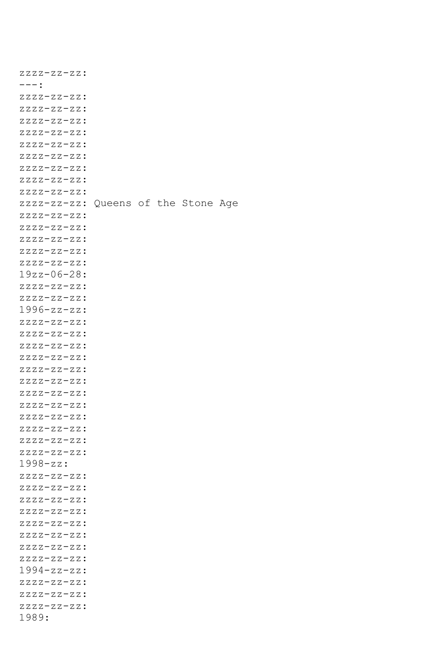| <u>zzzz-zz-zz:</u>                  |  |  |  |
|-------------------------------------|--|--|--|
| --- :                               |  |  |  |
| $ZZZZ-ZZ-ZZ:$                       |  |  |  |
| $ZZZZ-ZZ-ZZ:$                       |  |  |  |
| $ZZZZ-ZZ-ZZ:$                       |  |  |  |
| $ZZZZ-ZZ-ZZ:$                       |  |  |  |
| $ZZZZ-ZZ-ZZ:$                       |  |  |  |
| $ZZZZ-ZZ-ZZ:$                       |  |  |  |
| $ZZZZ-ZZ-ZZ:$                       |  |  |  |
| $ZZZZ-ZZ-ZZ:$                       |  |  |  |
| $ZZZZ-ZZ-ZZ:$                       |  |  |  |
| zzzz-zz-zz: Queens of the Stone Age |  |  |  |
| $ZZZZ-ZZ-ZZ:$                       |  |  |  |
|                                     |  |  |  |
| $ZZZZ-ZZ-ZZ:$                       |  |  |  |
| $ZZZZ-ZZ-ZZ:$                       |  |  |  |
| $ZZZZ-ZZ-ZZ:$                       |  |  |  |
| $ZZZZ-ZZ-ZZ:$                       |  |  |  |
| $19zz - 06 - 28:$                   |  |  |  |
| $ZZZZ-ZZ-ZZ:$                       |  |  |  |
| $ZZZZ-ZZ-ZZ:$                       |  |  |  |
| $1996 - zz - zz$ :                  |  |  |  |
| $ZZZZ-ZZ-ZZ:$                       |  |  |  |
| $ZZZZ-ZZ-ZZ:$                       |  |  |  |
| $ZZZZ-ZZ-ZZ:$                       |  |  |  |
| $ZZZZ-ZZ-ZZ:$                       |  |  |  |
| $ZZZZ-ZZ-ZZ:$                       |  |  |  |
| $ZZZZ-ZZ-ZZ:$                       |  |  |  |
| $ZZZZ-ZZ-ZZ:$                       |  |  |  |
| $ZZZZ-ZZ-ZZ:$                       |  |  |  |
| $ZZZZ-ZZ-ZZ:$                       |  |  |  |
| $ZZZZ-ZZ-ZZ:$                       |  |  |  |
| $ZZZZ-ZZ-ZZ:$                       |  |  |  |
| $ZZZZ-ZZ-ZZ:$                       |  |  |  |
| $1998-zz$ :                         |  |  |  |
| $ZZZZ-ZZ-ZZ:$                       |  |  |  |
| $ZZZZ-ZZ-ZZ:$                       |  |  |  |
| $ZZZZ-ZZ-ZZ:$                       |  |  |  |
| $ZZZZ-ZZ-ZZ:$                       |  |  |  |
| $ZZZZ-ZZ-ZZ:$                       |  |  |  |
| $ZZZZ-ZZ-ZZ:$                       |  |  |  |
| $ZZZZ-ZZ-ZZ:$                       |  |  |  |
| $ZZZZ-ZZ-ZZ:$                       |  |  |  |
| $1994 - zz - zz$ :                  |  |  |  |
| $ZZZZ-ZZ-ZZ:$                       |  |  |  |
| $ZZZZ-ZZ-ZZ:$                       |  |  |  |
| $ZZZZ-ZZ-ZZ:$                       |  |  |  |
| 1989:                               |  |  |  |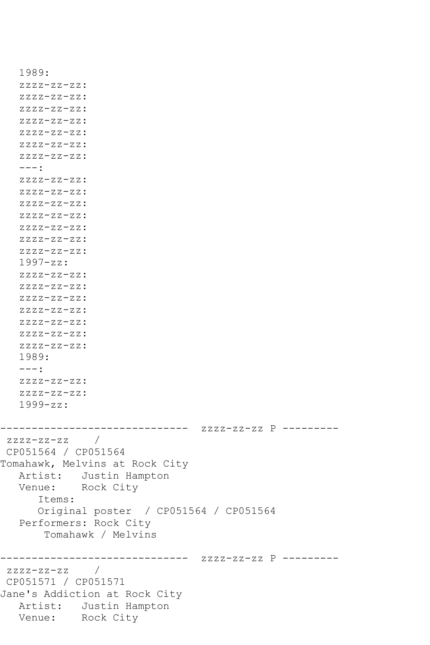```
 1989:
    zzzz-zz-zz:
    zzzz-zz-zz:
    zzzz-zz-zz:
    zzzz-zz-zz:
    zzzz-zz-zz:
    zzzz-zz-zz:
    zzzz-zz-zz:
    ---:
    zzzz-zz-zz:
    zzzz-zz-zz:
    zzzz-zz-zz:
    zzzz-zz-zz:
    zzzz-zz-zz:
    zzzz-zz-zz:
    zzzz-zz-zz:
    1997-zz:
    zzzz-zz-zz:
   zzzz-zz-zz:
   zzzz-zz-zz:
    zzzz-zz-zz:
    zzzz-zz-zz:
    zzzz-zz-zz:
    zzzz-zz-zz:
    1989:
  ---: zzzz-zz-zz:
   zzzz-zz-zz:
    1999-zz:
------------------------------ zzzz-zz-zz P ---------
zzzz-zz-zz / 
CP051564 / CP051564
Tomahawk, Melvins at Rock City
   Artist: Justin Hampton
   Venue: Rock City
       Items:
       Original poster / CP051564 / CP051564
   Performers: Rock City
        Tomahawk / Melvins
------------------------------ zzzz-zz-zz P ---------
zzzz-zz-zz / 
CP051571 / CP051571
Jane's Addiction at Rock City
   Artist: Justin Hampton
   Venue: Rock City
```